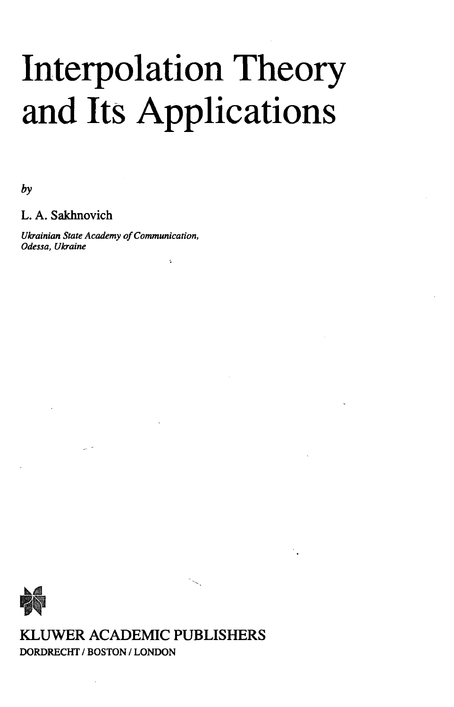## Interpolation Theory and Its Applications

k,

*by*

## L. A. Sakhnovich

*Ukrainian State Academy of Communication, Odessa, Ukraine*



KLUWER ACADEMIC PUBLISHERS **DORDRECHT / BOSTON / LONDON**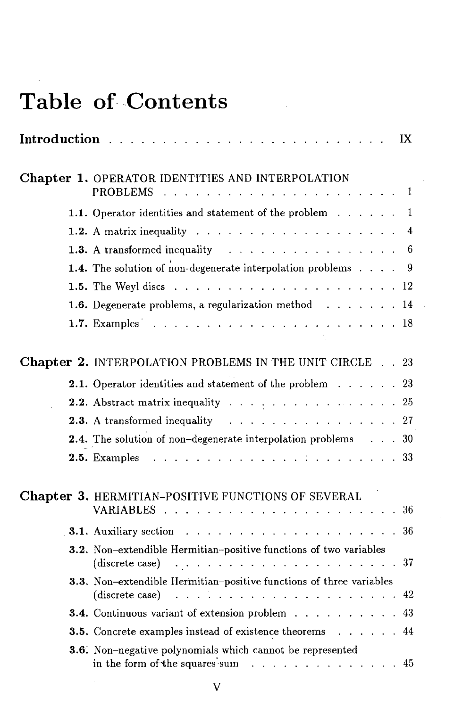## Table of Contents

| Introduction. | IX                                                                                                                                                                                                                                  |
|---------------|-------------------------------------------------------------------------------------------------------------------------------------------------------------------------------------------------------------------------------------|
|               | Chapter 1. OPERATOR IDENTITIES AND INTERPOLATION<br><b>PROBLEMS</b><br>1                                                                                                                                                            |
|               |                                                                                                                                                                                                                                     |
|               | 1.1. Operator identities and statement of the problem<br>1                                                                                                                                                                          |
|               | 1.2. A matrix inequality $\ldots$ $\ldots$ $\ldots$ $\ldots$ $\ldots$ $\ldots$ $\ldots$ $\ldots$<br>4                                                                                                                               |
|               | 1.3. A transformed inequality<br>$\frac{1}{2}$ , $\frac{1}{2}$ , $\frac{1}{2}$ , $\frac{1}{2}$ , $\frac{1}{2}$ , $\frac{1}{2}$ , $\frac{1}{2}$ , $\frac{1}{2}$ , $\frac{1}{2}$ , $\frac{1}{2}$ , $\frac{1}{2}$ , $\frac{1}{2}$<br>6 |
|               | <b>1.4.</b> The solution of non-degenerate interpolation problems<br>9                                                                                                                                                              |
|               | 12                                                                                                                                                                                                                                  |
|               | 1.6. Degenerate problems, a regularization method<br>14                                                                                                                                                                             |
|               | 1.7. Examples<br>. . 18                                                                                                                                                                                                             |
|               | <b>Chapter 2. INTERPOLATION PROBLEMS IN THE UNIT CIRCLE</b> 23                                                                                                                                                                      |
|               | 2.1. Operator identities and statement of the problem<br>23                                                                                                                                                                         |
|               | <b>2.2.</b> Abstract matrix inequality $\ldots$ $\ldots$ $\ldots$ $\ldots$ $\ldots$ $\ldots$<br>25                                                                                                                                  |
|               | 2.3. A transformed inequality<br>27<br><u>and a straight and a straight and</u>                                                                                                                                                     |
|               | <b>2.4.</b> The solution of non-degenerate interpolation problems 30                                                                                                                                                                |
|               | $\mathbf{r}$ , and $\mathbf{r}$ , and $\mathbf{r}$ , and $\mathbf{r}$<br>33<br>2.5. Examples                                                                                                                                        |
|               | <b>Chapter 3. HERMITIAN-POSITIVE FUNCTIONS OF SEVERAL</b><br>VARIABLES<br>36                                                                                                                                                        |
|               | 36<br><b>3.1.</b> Auxiliary section $\cdots$<br>and the state of the state of the state of the state of the state of the state of the state of the state of the                                                                     |
|               | 3.2. Non-extendible Hermitian-positive functions of two variables<br>37<br>(discrete case)                                                                                                                                          |
|               | 3.3. Non-extendible Hermitian-positive functions of three variables<br>(discrete case)<br>42                                                                                                                                        |
|               | <b>3.4.</b> Continuous variant of extension problem<br>43                                                                                                                                                                           |
|               | <b>3.5.</b> Concrete examples instead of existence theorems<br>44                                                                                                                                                                   |
|               | 3.6. Non-negative polynomials which cannot be represented<br>in the form of the squares sum<br>. 45                                                                                                                                 |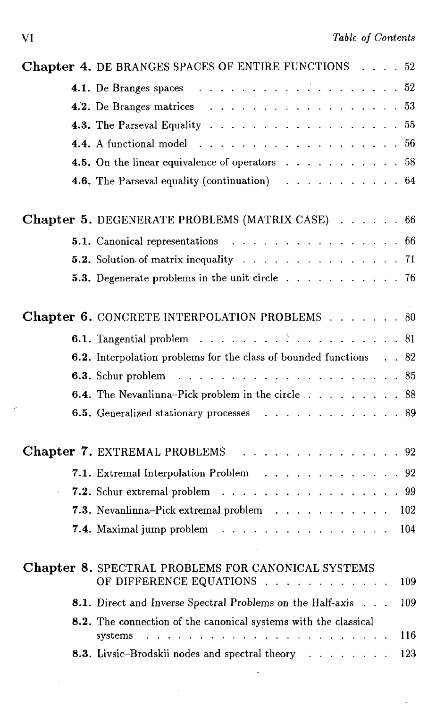| <b>Chapter 4. DE BRANGES SPACES OF ENTIRE FUNCTIONS  52</b>                                                                                                                                                                                                                                                           |     |
|-----------------------------------------------------------------------------------------------------------------------------------------------------------------------------------------------------------------------------------------------------------------------------------------------------------------------|-----|
| 4.1. De Branges spaces $\ldots$ $\ldots$ $\ldots$ $\ldots$ $\ldots$ $\ldots$ $\ldots$ 52                                                                                                                                                                                                                              |     |
| <b>4.2.</b> De Branges matrices $\ldots$ $\ldots$ $\ldots$ $\ldots$ $\ldots$ $\ldots$ $\ldots$ 53                                                                                                                                                                                                                     |     |
| <b>4.3.</b> The Parseval Equality $\ldots$ $\ldots$ $\ldots$ $\ldots$ $\ldots$ $\ldots$ $\ldots$ 55                                                                                                                                                                                                                   |     |
| <b>4.4.</b> A functional model $\ldots$ $\ldots$ $\ldots$ $\ldots$ $\ldots$ $\ldots$ $\ldots$ 56                                                                                                                                                                                                                      |     |
| <b>4.5.</b> On the linear equivalence of operators $\ldots \ldots \ldots \ldots \ldots$ 58                                                                                                                                                                                                                            |     |
| <b>4.6.</b> The Parseval equality (continuation) $\ldots \ldots \ldots \ldots \ldots 64$                                                                                                                                                                                                                              |     |
| <b>Chapter 5. DEGENERATE PROBLEMS (MATRIX CASE)</b> 66                                                                                                                                                                                                                                                                |     |
| 5.1. Canonical representations                                                                                                                                                                                                                                                                                        | 66  |
| 5.2. Solution of matrix inequality 71                                                                                                                                                                                                                                                                                 |     |
| <b>5.3.</b> Degenerate problems in the unit circle $\ldots$                                                                                                                                                                                                                                                           | 76  |
| <b>Chapter 6. CONCRETE INTERPOLATION PROBLEMS</b> 80                                                                                                                                                                                                                                                                  |     |
| <b>6.1.</b> Tangential problem $\ldots$ $\ldots$ $\ldots$ $\ldots$ $\ldots$ $\ldots$ $\ldots$ $\ldots$ 81                                                                                                                                                                                                             |     |
| 6.2. Interpolation problems for the class of bounded functions 82                                                                                                                                                                                                                                                     |     |
| <b>6.3.</b> Schur problem $\ldots \ldots \ldots \ldots \ldots \ldots \ldots \ldots \ldots 85$                                                                                                                                                                                                                         |     |
| <b>6.4.</b> The Nevanlinna–Pick problem in the circle 88                                                                                                                                                                                                                                                              |     |
| 6.5. Generalized stationary processes 89                                                                                                                                                                                                                                                                              |     |
| Chapter 7. EXTREMAL PROBLEMS                                                                                                                                                                                                                                                                                          | 92  |
| 7.1. Extremal Interpolation Problem                                                                                                                                                                                                                                                                                   | 92  |
| 7.2. Schur extremal problem 99                                                                                                                                                                                                                                                                                        |     |
| 7.3. Nevanlinna-Pick extremal problem 102                                                                                                                                                                                                                                                                             |     |
| 7.4. Maximal jump problem $\ldots$ 104                                                                                                                                                                                                                                                                                |     |
| Chapter 8. SPECTRAL PROBLEMS FOR CANONICAL SYSTEMS<br>OF DIFFERENCE EQUATIONS<br><u>na na manana na manana na manana na manana na manana na manana na manana na manana na manana na manana na manana na manana na manana na manana na manana na manana na manana na manana na manana na manana na manana na manan</u> | 109 |
| 8.1. Direct and Inverse Spectral Problems on the Half-axis                                                                                                                                                                                                                                                            | 109 |
| 8.2. The connection of the canonical systems with the classical<br>systems                                                                                                                                                                                                                                            | 116 |
| 8.3. Livsic-Brodskii nodes and spectral theory<br>$\mathbf{r}$ and $\mathbf{r}$ and $\mathbf{r}$ and $\mathbf{r}$                                                                                                                                                                                                     | 123 |
|                                                                                                                                                                                                                                                                                                                       |     |

Ļ

 $\ddot{\phantom{a}}$ 

 $\ddot{\phantom{a}}$ 

J.